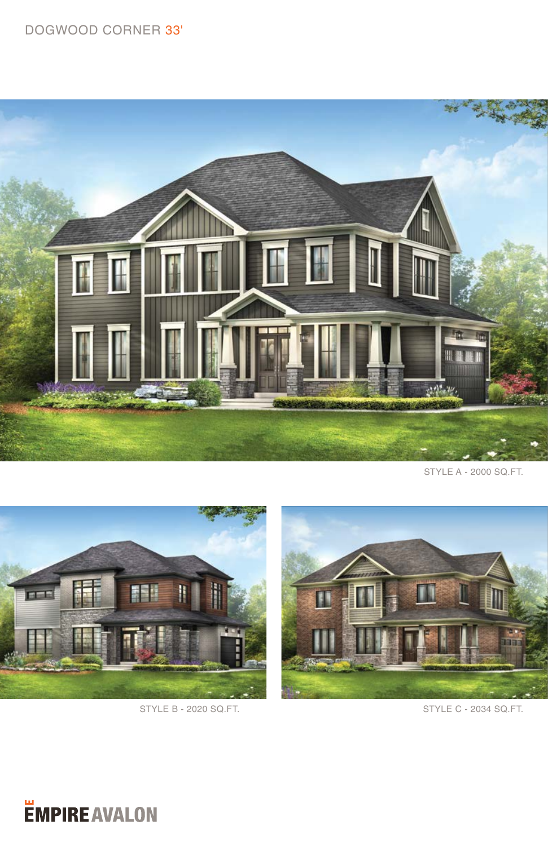## DOGWOOD CORNER 33'



STYLE A - 2000 SQ.FT.





*<u>EMPIRE AVALON</u>*